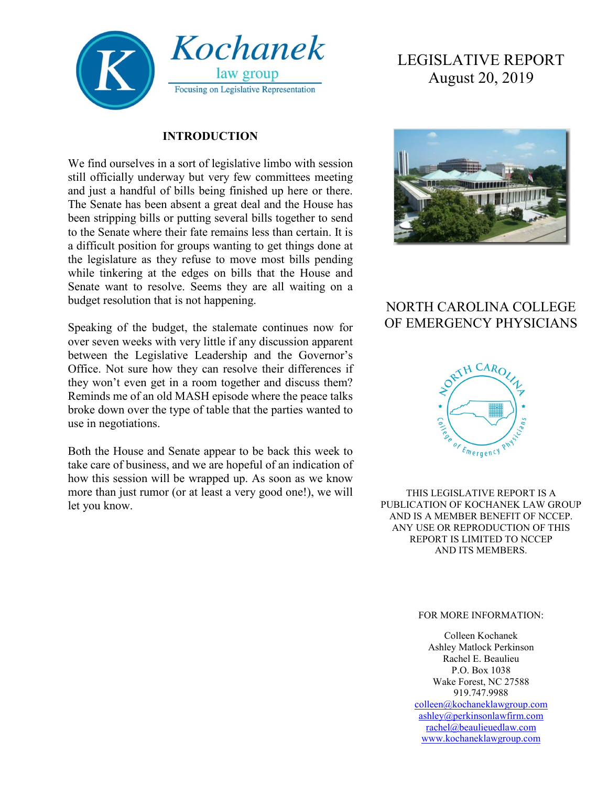

#### **INTRODUCTION**

We find ourselves in a sort of legislative limbo with session still officially underway but very few committees meeting and just a handful of bills being finished up here or there. The Senate has been absent a great deal and the House has been stripping bills or putting several bills together to send to the Senate where their fate remains less than certain. It is a difficult position for groups wanting to get things done at the legislature as they refuse to move most bills pending while tinkering at the edges on bills that the House and Senate want to resolve. Seems they are all waiting on a budget resolution that is not happening.

Speaking of the budget, the stalemate continues now for over seven weeks with very little if any discussion apparent between the Legislative Leadership and the Governor's Office. Not sure how they can resolve their differences if they won't even get in a room together and discuss them? Reminds me of an old MASH episode where the peace talks broke down over the type of table that the parties wanted to use in negotiations.

Both the House and Senate appear to be back this week to take care of business, and we are hopeful of an indication of how this session will be wrapped up. As soon as we know more than just rumor (or at least a very good one!), we will let you know.

# LEGISLATIVE REPORT August 20, 2019



## NORTH CAROLINA COLLEGE OF EMERGENCY PHYSICIANS



THIS LEGISLATIVE REPORT IS A PUBLICATION OF KOCHANEK LAW GROUP AND IS A MEMBER BENEFIT OF NCCEP. ANY USE OR REPRODUCTION OF THIS REPORT IS LIMITED TO NCCEP AND ITS MEMBERS.

#### FOR MORE INFORMATION:

Colleen Kochanek Ashley Matlock Perkinson Rachel E. Beaulieu P.O. Box 1038 Wake Forest, NC 27588 919.747.9988 [colleen@kochaneklawgroup.com](mailto:colleen@kochaneklawgroup.com) [ashley@perkinsonlawfirm.com](mailto:ashley@perkinsonlawfirm.com) [rachel@beaulieuedlaw.com](mailto:rachel@beaulieuedlaw.com) [www.kochaneklawgroup.com](http://www.kochaneklawgroup.com/)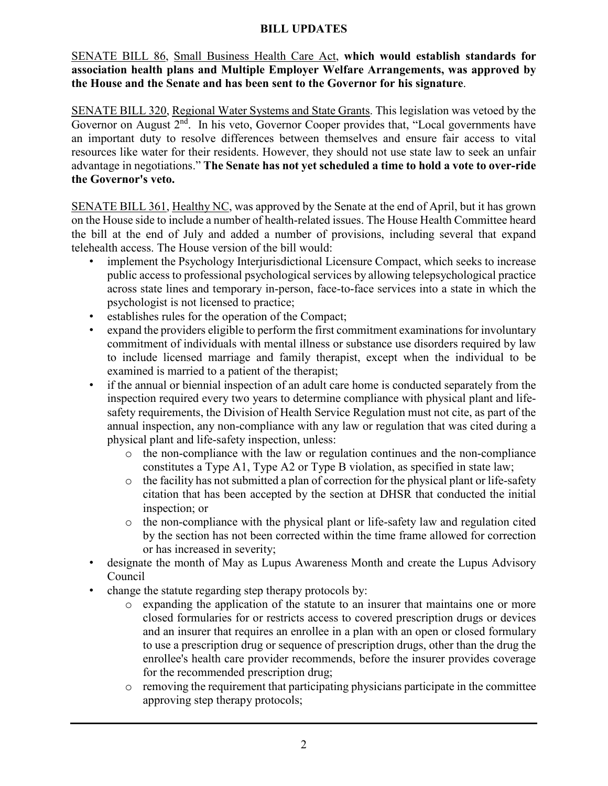#### **BILL UPDATES**

SENATE BILL 86, Small Business Health Care Act, **which would establish standards for association health plans and Multiple Employer Welfare Arrangements, was approved by the House and the Senate and has been sent to the Governor for his signature**.

SENATE BILL 320, Regional Water Systems and State Grants. This legislation was vetoed by the Governor on August  $2<sup>nd</sup>$ . In his veto, Governor Cooper provides that, "Local governments have an important duty to resolve differences between themselves and ensure fair access to vital resources like water for their residents. However, they should not use state law to seek an unfair advantage in negotiations." **The Senate has not yet scheduled a time to hold a vote to over-ride the Governor's veto.**

SENATE BILL 361, Healthy NC, was approved by the Senate at the end of April, but it has grown on the House side to include a number of health-related issues. The House Health Committee heard the bill at the end of July and added a number of provisions, including several that expand telehealth access. The House version of the bill would:

- implement the Psychology Interjurisdictional Licensure Compact, which seeks to increase public access to professional psychological services by allowing telepsychological practice across state lines and temporary in-person, face-to-face services into a state in which the psychologist is not licensed to practice;
- establishes rules for the operation of the Compact;
- expand the providers eligible to perform the first commitment examinations for involuntary commitment of individuals with mental illness or substance use disorders required by law to include licensed marriage and family therapist, except when the individual to be examined is married to a patient of the therapist;
- if the annual or biennial inspection of an adult care home is conducted separately from the inspection required every two years to determine compliance with physical plant and lifesafety requirements, the Division of Health Service Regulation must not cite, as part of the annual inspection, any non-compliance with any law or regulation that was cited during a physical plant and life-safety inspection, unless:
	- o the non-compliance with the law or regulation continues and the non-compliance constitutes a Type A1, Type A2 or Type B violation, as specified in state law;
	- o the facility has not submitted a plan of correction for the physical plant or life-safety citation that has been accepted by the section at DHSR that conducted the initial inspection; or
	- o the non-compliance with the physical plant or life-safety law and regulation cited by the section has not been corrected within the time frame allowed for correction or has increased in severity;
- designate the month of May as Lupus Awareness Month and create the Lupus Advisory Council
- change the statute regarding step therapy protocols by:
	- o expanding the application of the statute to an insurer that maintains one or more closed formularies for or restricts access to covered prescription drugs or devices and an insurer that requires an enrollee in a plan with an open or closed formulary to use a prescription drug or sequence of prescription drugs, other than the drug the enrollee's health care provider recommends, before the insurer provides coverage for the recommended prescription drug;
	- o removing the requirement that participating physicians participate in the committee approving step therapy protocols;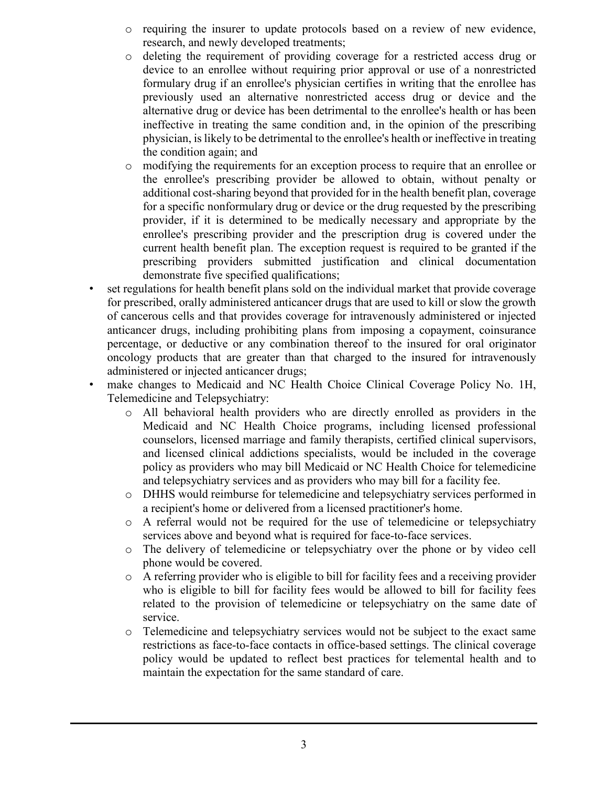- o requiring the insurer to update protocols based on a review of new evidence, research, and newly developed treatments;
- o deleting the requirement of providing coverage for a restricted access drug or device to an enrollee without requiring prior approval or use of a nonrestricted formulary drug if an enrollee's physician certifies in writing that the enrollee has previously used an alternative nonrestricted access drug or device and the alternative drug or device has been detrimental to the enrollee's health or has been ineffective in treating the same condition and, in the opinion of the prescribing physician, is likely to be detrimental to the enrollee's health or ineffective in treating the condition again; and
- o modifying the requirements for an exception process to require that an enrollee or the enrollee's prescribing provider be allowed to obtain, without penalty or additional cost-sharing beyond that provided for in the health benefit plan, coverage for a specific nonformulary drug or device or the drug requested by the prescribing provider, if it is determined to be medically necessary and appropriate by the enrollee's prescribing provider and the prescription drug is covered under the current health benefit plan. The exception request is required to be granted if the prescribing providers submitted justification and clinical documentation demonstrate five specified qualifications;
- set regulations for health benefit plans sold on the individual market that provide coverage for prescribed, orally administered anticancer drugs that are used to kill or slow the growth of cancerous cells and that provides coverage for intravenously administered or injected anticancer drugs, including prohibiting plans from imposing a copayment, coinsurance percentage, or deductive or any combination thereof to the insured for oral originator oncology products that are greater than that charged to the insured for intravenously administered or injected anticancer drugs;
- make changes to Medicaid and NC Health Choice Clinical Coverage Policy No. 1H, Telemedicine and Telepsychiatry:
	- o All behavioral health providers who are directly enrolled as providers in the Medicaid and NC Health Choice programs, including licensed professional counselors, licensed marriage and family therapists, certified clinical supervisors, and licensed clinical addictions specialists, would be included in the coverage policy as providers who may bill Medicaid or NC Health Choice for telemedicine and telepsychiatry services and as providers who may bill for a facility fee.
	- o DHHS would reimburse for telemedicine and telepsychiatry services performed in a recipient's home or delivered from a licensed practitioner's home.
	- o A referral would not be required for the use of telemedicine or telepsychiatry services above and beyond what is required for face-to-face services.
	- o The delivery of telemedicine or telepsychiatry over the phone or by video cell phone would be covered.
	- o A referring provider who is eligible to bill for facility fees and a receiving provider who is eligible to bill for facility fees would be allowed to bill for facility fees related to the provision of telemedicine or telepsychiatry on the same date of service.
	- o Telemedicine and telepsychiatry services would not be subject to the exact same restrictions as face-to-face contacts in office-based settings. The clinical coverage policy would be updated to reflect best practices for telemental health and to maintain the expectation for the same standard of care.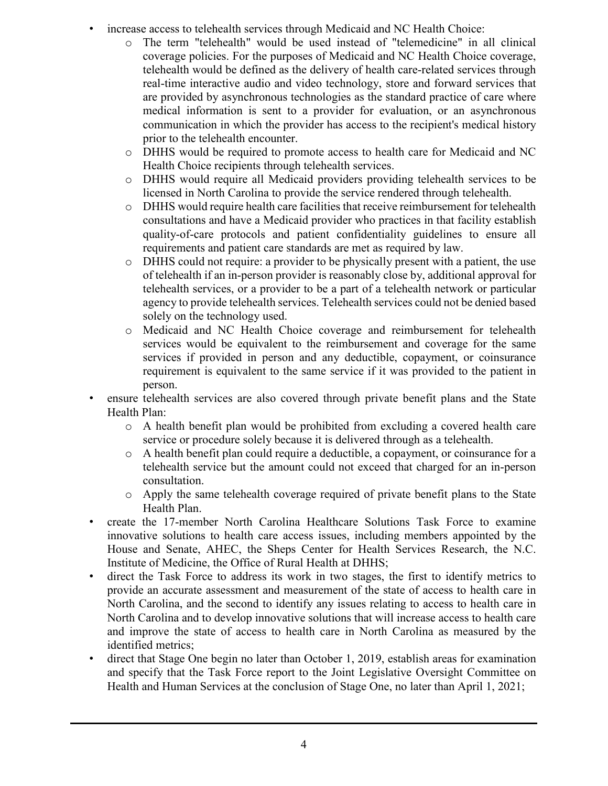- increase access to telehealth services through Medicaid and NC Health Choice:
	- o The term "telehealth" would be used instead of "telemedicine" in all clinical coverage policies. For the purposes of Medicaid and NC Health Choice coverage, telehealth would be defined as the delivery of health care-related services through real-time interactive audio and video technology, store and forward services that are provided by asynchronous technologies as the standard practice of care where medical information is sent to a provider for evaluation, or an asynchronous communication in which the provider has access to the recipient's medical history prior to the telehealth encounter.
	- o DHHS would be required to promote access to health care for Medicaid and NC Health Choice recipients through telehealth services.
	- o DHHS would require all Medicaid providers providing telehealth services to be licensed in North Carolina to provide the service rendered through telehealth.
	- o DHHS would require health care facilities that receive reimbursement for telehealth consultations and have a Medicaid provider who practices in that facility establish quality-of-care protocols and patient confidentiality guidelines to ensure all requirements and patient care standards are met as required by law.
	- o DHHS could not require: a provider to be physically present with a patient, the use of telehealth if an in-person provider is reasonably close by, additional approval for telehealth services, or a provider to be a part of a telehealth network or particular agency to provide telehealth services. Telehealth services could not be denied based solely on the technology used.
	- o Medicaid and NC Health Choice coverage and reimbursement for telehealth services would be equivalent to the reimbursement and coverage for the same services if provided in person and any deductible, copayment, or coinsurance requirement is equivalent to the same service if it was provided to the patient in person.
- ensure telehealth services are also covered through private benefit plans and the State Health Plan:
	- o A health benefit plan would be prohibited from excluding a covered health care service or procedure solely because it is delivered through as a telehealth.
	- o A health benefit plan could require a deductible, a copayment, or coinsurance for a telehealth service but the amount could not exceed that charged for an in-person consultation.
	- o Apply the same telehealth coverage required of private benefit plans to the State Health Plan.
- create the 17-member North Carolina Healthcare Solutions Task Force to examine innovative solutions to health care access issues, including members appointed by the House and Senate, AHEC, the Sheps Center for Health Services Research, the N.C. Institute of Medicine, the Office of Rural Health at DHHS;
- direct the Task Force to address its work in two stages, the first to identify metrics to provide an accurate assessment and measurement of the state of access to health care in North Carolina, and the second to identify any issues relating to access to health care in North Carolina and to develop innovative solutions that will increase access to health care and improve the state of access to health care in North Carolina as measured by the identified metrics;
- direct that Stage One begin no later than October 1, 2019, establish areas for examination and specify that the Task Force report to the Joint Legislative Oversight Committee on Health and Human Services at the conclusion of Stage One, no later than April 1, 2021;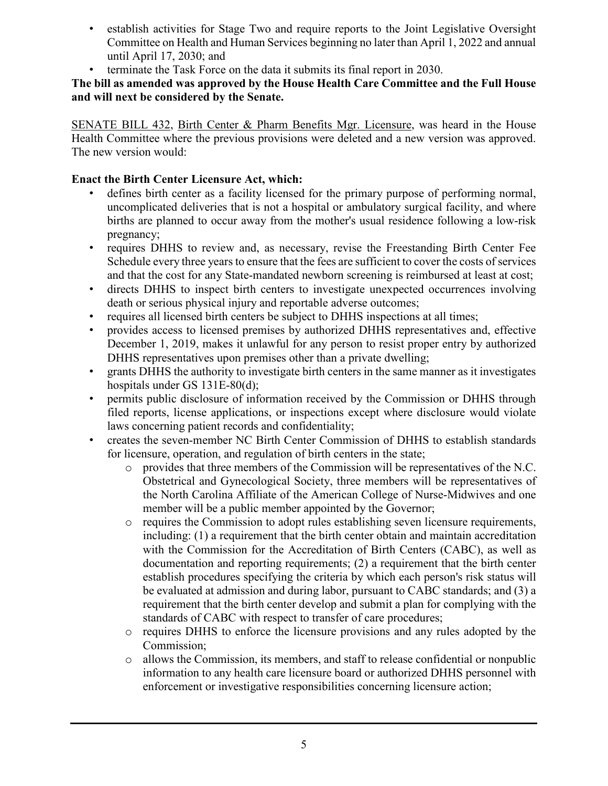- establish activities for Stage Two and require reports to the Joint Legislative Oversight Committee on Health and Human Services beginning no later than April 1, 2022 and annual until April 17, 2030; and
- terminate the Task Force on the data it submits its final report in 2030.

**The bill as amended was approved by the House Health Care Committee and the Full House and will next be considered by the Senate.**

SENATE BILL 432, Birth Center & Pharm Benefits Mgr. Licensure, was heard in the House Health Committee where the previous provisions were deleted and a new version was approved. The new version would:

#### **Enact the Birth Center Licensure Act, which:**

- defines birth center as a facility licensed for the primary purpose of performing normal, uncomplicated deliveries that is not a hospital or ambulatory surgical facility, and where births are planned to occur away from the mother's usual residence following a low-risk pregnancy;
- requires DHHS to review and, as necessary, revise the Freestanding Birth Center Fee Schedule every three years to ensure that the fees are sufficient to cover the costs of services and that the cost for any State-mandated newborn screening is reimbursed at least at cost;
- directs DHHS to inspect birth centers to investigate unexpected occurrences involving death or serious physical injury and reportable adverse outcomes;
- requires all licensed birth centers be subject to DHHS inspections at all times;
- provides access to licensed premises by authorized DHHS representatives and, effective December 1, 2019, makes it unlawful for any person to resist proper entry by authorized DHHS representatives upon premises other than a private dwelling;
- grants DHHS the authority to investigate birth centers in the same manner as it investigates hospitals under GS 131E-80(d);
- permits public disclosure of information received by the Commission or DHHS through filed reports, license applications, or inspections except where disclosure would violate laws concerning patient records and confidentiality;
- creates the seven-member NC Birth Center Commission of DHHS to establish standards for licensure, operation, and regulation of birth centers in the state;
	- o provides that three members of the Commission will be representatives of the N.C. Obstetrical and Gynecological Society, three members will be representatives of the North Carolina Affiliate of the American College of Nurse-Midwives and one member will be a public member appointed by the Governor;
	- o requires the Commission to adopt rules establishing seven licensure requirements, including: (1) a requirement that the birth center obtain and maintain accreditation with the Commission for the Accreditation of Birth Centers (CABC), as well as documentation and reporting requirements; (2) a requirement that the birth center establish procedures specifying the criteria by which each person's risk status will be evaluated at admission and during labor, pursuant to CABC standards; and (3) a requirement that the birth center develop and submit a plan for complying with the standards of CABC with respect to transfer of care procedures;
	- o requires DHHS to enforce the licensure provisions and any rules adopted by the Commission;
	- o allows the Commission, its members, and staff to release confidential or nonpublic information to any health care licensure board or authorized DHHS personnel with enforcement or investigative responsibilities concerning licensure action;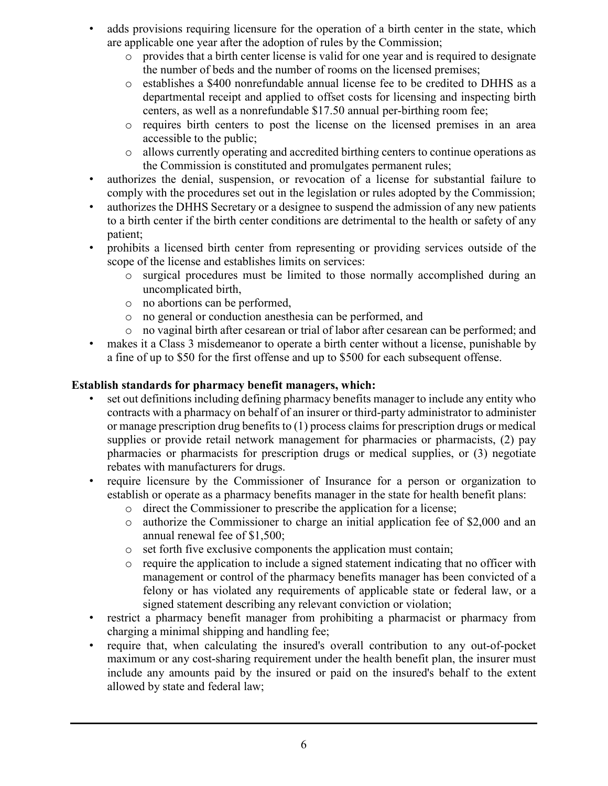- adds provisions requiring licensure for the operation of a birth center in the state, which are applicable one year after the adoption of rules by the Commission;
	- o provides that a birth center license is valid for one year and is required to designate the number of beds and the number of rooms on the licensed premises;
	- o establishes a \$400 nonrefundable annual license fee to be credited to DHHS as a departmental receipt and applied to offset costs for licensing and inspecting birth centers, as well as a nonrefundable \$17.50 annual per-birthing room fee;
	- o requires birth centers to post the license on the licensed premises in an area accessible to the public;
	- o allows currently operating and accredited birthing centers to continue operations as the Commission is constituted and promulgates permanent rules;
- authorizes the denial, suspension, or revocation of a license for substantial failure to comply with the procedures set out in the legislation or rules adopted by the Commission;
- authorizes the DHHS Secretary or a designee to suspend the admission of any new patients to a birth center if the birth center conditions are detrimental to the health or safety of any patient;
- prohibits a licensed birth center from representing or providing services outside of the scope of the license and establishes limits on services:
	- o surgical procedures must be limited to those normally accomplished during an uncomplicated birth,
	- o no abortions can be performed,
	- o no general or conduction anesthesia can be performed, and
	- o no vaginal birth after cesarean or trial of labor after cesarean can be performed; and
- makes it a Class 3 misdemeanor to operate a birth center without a license, punishable by a fine of up to \$50 for the first offense and up to \$500 for each subsequent offense.

### **Establish standards for pharmacy benefit managers, which:**

- set out definitions including defining pharmacy benefits manager to include any entity who contracts with a pharmacy on behalf of an insurer or third-party administrator to administer or manage prescription drug benefits to (1) process claims for prescription drugs or medical supplies or provide retail network management for pharmacies or pharmacists, (2) pay pharmacies or pharmacists for prescription drugs or medical supplies, or (3) negotiate rebates with manufacturers for drugs.
- require licensure by the Commissioner of Insurance for a person or organization to establish or operate as a pharmacy benefits manager in the state for health benefit plans:
	- o direct the Commissioner to prescribe the application for a license;
	- o authorize the Commissioner to charge an initial application fee of \$2,000 and an annual renewal fee of \$1,500;
	- o set forth five exclusive components the application must contain;
	- $\circ$  require the application to include a signed statement indicating that no officer with management or control of the pharmacy benefits manager has been convicted of a felony or has violated any requirements of applicable state or federal law, or a signed statement describing any relevant conviction or violation;
- restrict a pharmacy benefit manager from prohibiting a pharmacist or pharmacy from charging a minimal shipping and handling fee;
- require that, when calculating the insured's overall contribution to any out-of-pocket maximum or any cost-sharing requirement under the health benefit plan, the insurer must include any amounts paid by the insured or paid on the insured's behalf to the extent allowed by state and federal law;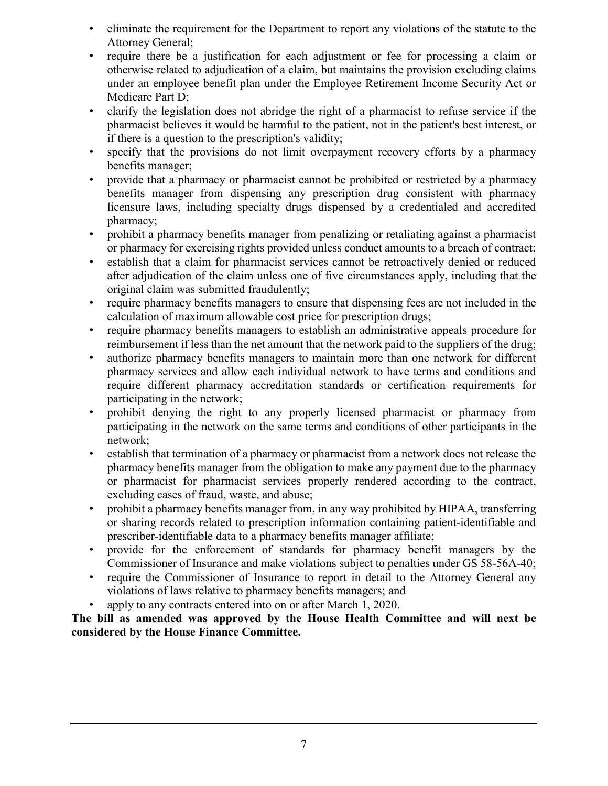- eliminate the requirement for the Department to report any violations of the statute to the Attorney General;
- require there be a justification for each adjustment or fee for processing a claim or otherwise related to adjudication of a claim, but maintains the provision excluding claims under an employee benefit plan under the Employee Retirement Income Security Act or Medicare Part D;
- clarify the legislation does not abridge the right of a pharmacist to refuse service if the pharmacist believes it would be harmful to the patient, not in the patient's best interest, or if there is a question to the prescription's validity;
- specify that the provisions do not limit overpayment recovery efforts by a pharmacy benefits manager;
- provide that a pharmacy or pharmacist cannot be prohibited or restricted by a pharmacy benefits manager from dispensing any prescription drug consistent with pharmacy licensure laws, including specialty drugs dispensed by a credentialed and accredited pharmacy;
- prohibit a pharmacy benefits manager from penalizing or retaliating against a pharmacist or pharmacy for exercising rights provided unless conduct amounts to a breach of contract;
- establish that a claim for pharmacist services cannot be retroactively denied or reduced after adjudication of the claim unless one of five circumstances apply, including that the original claim was submitted fraudulently;
- require pharmacy benefits managers to ensure that dispensing fees are not included in the calculation of maximum allowable cost price for prescription drugs;
- require pharmacy benefits managers to establish an administrative appeals procedure for reimbursement if less than the net amount that the network paid to the suppliers of the drug;
- authorize pharmacy benefits managers to maintain more than one network for different pharmacy services and allow each individual network to have terms and conditions and require different pharmacy accreditation standards or certification requirements for participating in the network;
- prohibit denying the right to any properly licensed pharmacist or pharmacy from participating in the network on the same terms and conditions of other participants in the network;
- establish that termination of a pharmacy or pharmacist from a network does not release the pharmacy benefits manager from the obligation to make any payment due to the pharmacy or pharmacist for pharmacist services properly rendered according to the contract, excluding cases of fraud, waste, and abuse;
- prohibit a pharmacy benefits manager from, in any way prohibited by HIPAA, transferring or sharing records related to prescription information containing patient-identifiable and prescriber-identifiable data to a pharmacy benefits manager affiliate;
- provide for the enforcement of standards for pharmacy benefit managers by the Commissioner of Insurance and make violations subject to penalties under GS 58-56A-40;
- require the Commissioner of Insurance to report in detail to the Attorney General any violations of laws relative to pharmacy benefits managers; and
- apply to any contracts entered into on or after March 1, 2020.

**The bill as amended was approved by the House Health Committee and will next be considered by the House Finance Committee.**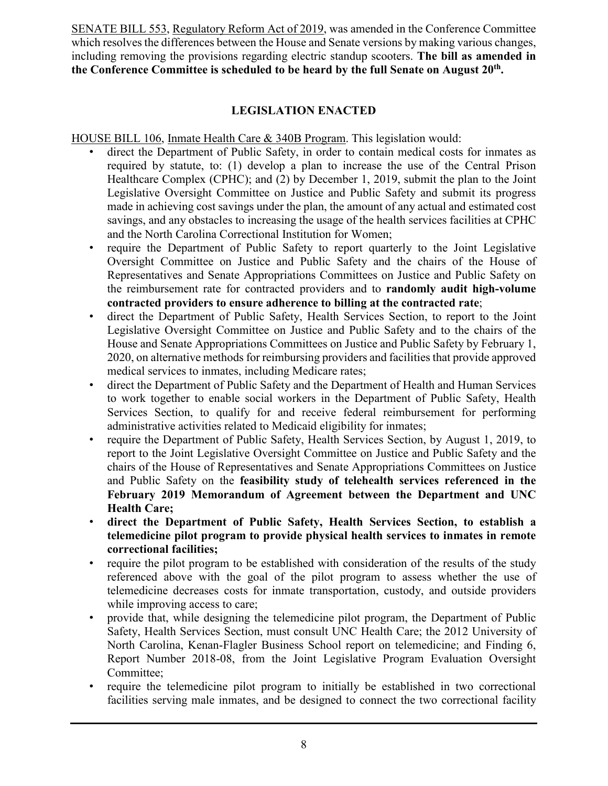SENATE BILL 553, Regulatory Reform Act of 2019, was amended in the Conference Committee which resolves the differences between the House and Senate versions by making various changes, including removing the provisions regarding electric standup scooters. **The bill as amended in the Conference Committee is scheduled to be heard by the full Senate on August 20th.**

#### **LEGISLATION ENACTED**

HOUSE BILL 106, Inmate Health Care & 340B Program. This legislation would:

- direct the Department of Public Safety, in order to contain medical costs for inmates as required by statute, to: (1) develop a plan to increase the use of the Central Prison Healthcare Complex (CPHC); and (2) by December 1, 2019, submit the plan to the Joint Legislative Oversight Committee on Justice and Public Safety and submit its progress made in achieving cost savings under the plan, the amount of any actual and estimated cost savings, and any obstacles to increasing the usage of the health services facilities at CPHC and the North Carolina Correctional Institution for Women;
- require the Department of Public Safety to report quarterly to the Joint Legislative Oversight Committee on Justice and Public Safety and the chairs of the House of Representatives and Senate Appropriations Committees on Justice and Public Safety on the reimbursement rate for contracted providers and to **randomly audit high-volume contracted providers to ensure adherence to billing at the contracted rate**;
- direct the Department of Public Safety, Health Services Section, to report to the Joint Legislative Oversight Committee on Justice and Public Safety and to the chairs of the House and Senate Appropriations Committees on Justice and Public Safety by February 1, 2020, on alternative methods for reimbursing providers and facilities that provide approved medical services to inmates, including Medicare rates;
- direct the Department of Public Safety and the Department of Health and Human Services to work together to enable social workers in the Department of Public Safety, Health Services Section, to qualify for and receive federal reimbursement for performing administrative activities related to Medicaid eligibility for inmates;
- require the Department of Public Safety, Health Services Section, by August 1, 2019, to report to the Joint Legislative Oversight Committee on Justice and Public Safety and the chairs of the House of Representatives and Senate Appropriations Committees on Justice and Public Safety on the **feasibility study of telehealth services referenced in the February 2019 Memorandum of Agreement between the Department and UNC Health Care;**
- **direct the Department of Public Safety, Health Services Section, to establish a telemedicine pilot program to provide physical health services to inmates in remote correctional facilities;**
- require the pilot program to be established with consideration of the results of the study referenced above with the goal of the pilot program to assess whether the use of telemedicine decreases costs for inmate transportation, custody, and outside providers while improving access to care;
- provide that, while designing the telemedicine pilot program, the Department of Public Safety, Health Services Section, must consult UNC Health Care; the 2012 University of North Carolina, Kenan-Flagler Business School report on telemedicine; and Finding 6, Report Number 2018-08, from the Joint Legislative Program Evaluation Oversight Committee;
- require the telemedicine pilot program to initially be established in two correctional facilities serving male inmates, and be designed to connect the two correctional facility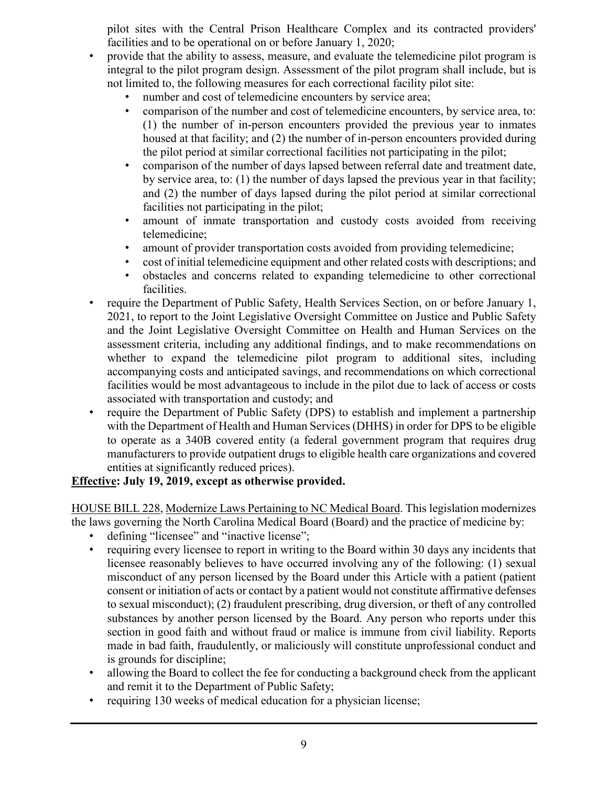pilot sites with the Central Prison Healthcare Complex and its contracted providers' facilities and to be operational on or before January 1, 2020;

- provide that the ability to assess, measure, and evaluate the telemedicine pilot program is integral to the pilot program design. Assessment of the pilot program shall include, but is not limited to, the following measures for each correctional facility pilot site:
	- number and cost of telemedicine encounters by service area;
	- comparison of the number and cost of telemedicine encounters, by service area, to: (1) the number of in-person encounters provided the previous year to inmates housed at that facility; and (2) the number of in-person encounters provided during the pilot period at similar correctional facilities not participating in the pilot;
	- comparison of the number of days lapsed between referral date and treatment date, by service area, to: (1) the number of days lapsed the previous year in that facility; and (2) the number of days lapsed during the pilot period at similar correctional facilities not participating in the pilot;
	- amount of inmate transportation and custody costs avoided from receiving telemedicine;
	- amount of provider transportation costs avoided from providing telemedicine;
	- cost of initial telemedicine equipment and other related costs with descriptions; and
	- obstacles and concerns related to expanding telemedicine to other correctional facilities.
- require the Department of Public Safety, Health Services Section, on or before January 1, 2021, to report to the Joint Legislative Oversight Committee on Justice and Public Safety and the Joint Legislative Oversight Committee on Health and Human Services on the assessment criteria, including any additional findings, and to make recommendations on whether to expand the telemedicine pilot program to additional sites, including accompanying costs and anticipated savings, and recommendations on which correctional facilities would be most advantageous to include in the pilot due to lack of access or costs associated with transportation and custody; and
- require the Department of Public Safety (DPS) to establish and implement a partnership with the Department of Health and Human Services (DHHS) in order for DPS to be eligible to operate as a 340B covered entity (a federal government program that requires drug manufacturers to provide outpatient drugs to eligible health care organizations and covered entities at significantly reduced prices).

#### **Effective: July 19, 2019, except as otherwise provided.**

HOUSE BILL 228, Modernize Laws Pertaining to NC Medical Board. This legislation modernizes the laws governing the North Carolina Medical Board (Board) and the practice of medicine by:

- defining "licensee" and "inactive license";<br>• requiring every licensee to report in writing
- requiring every licensee to report in writing to the Board within 30 days any incidents that licensee reasonably believes to have occurred involving any of the following: (1) sexual misconduct of any person licensed by the Board under this Article with a patient (patient consent or initiation of acts or contact by a patient would not constitute affirmative defenses to sexual misconduct); (2) fraudulent prescribing, drug diversion, or theft of any controlled substances by another person licensed by the Board. Any person who reports under this section in good faith and without fraud or malice is immune from civil liability. Reports made in bad faith, fraudulently, or maliciously will constitute unprofessional conduct and is grounds for discipline;
- allowing the Board to collect the fee for conducting a background check from the applicant and remit it to the Department of Public Safety;
- requiring 130 weeks of medical education for a physician license;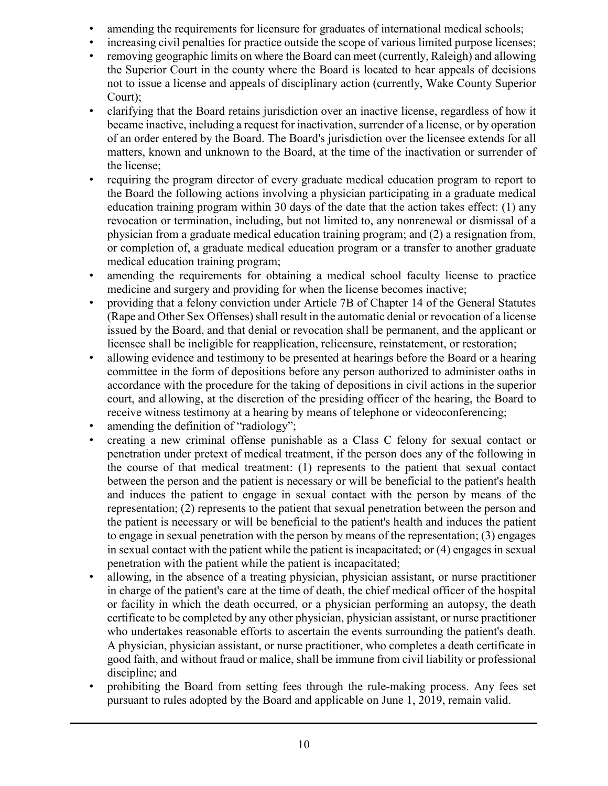- amending the requirements for licensure for graduates of international medical schools;
- increasing civil penalties for practice outside the scope of various limited purpose licenses; • removing geographic limits on where the Board can meet (currently, Raleigh) and allowing
- the Superior Court in the county where the Board is located to hear appeals of decisions not to issue a license and appeals of disciplinary action (currently, Wake County Superior Court);
- clarifying that the Board retains jurisdiction over an inactive license, regardless of how it became inactive, including a request for inactivation, surrender of a license, or by operation of an order entered by the Board. The Board's jurisdiction over the licensee extends for all matters, known and unknown to the Board, at the time of the inactivation or surrender of the license;
- requiring the program director of every graduate medical education program to report to the Board the following actions involving a physician participating in a graduate medical education training program within 30 days of the date that the action takes effect: (1) any revocation or termination, including, but not limited to, any nonrenewal or dismissal of a physician from a graduate medical education training program; and (2) a resignation from, or completion of, a graduate medical education program or a transfer to another graduate medical education training program;
- amending the requirements for obtaining a medical school faculty license to practice medicine and surgery and providing for when the license becomes inactive;
- providing that a felony conviction under Article 7B of Chapter 14 of the General Statutes (Rape and Other Sex Offenses) shall result in the automatic denial or revocation of a license issued by the Board, and that denial or revocation shall be permanent, and the applicant or licensee shall be ineligible for reapplication, relicensure, reinstatement, or restoration;
- allowing evidence and testimony to be presented at hearings before the Board or a hearing committee in the form of depositions before any person authorized to administer oaths in accordance with the procedure for the taking of depositions in civil actions in the superior court, and allowing, at the discretion of the presiding officer of the hearing, the Board to receive witness testimony at a hearing by means of telephone or videoconferencing;
- amending the definition of "radiology";
- creating a new criminal offense punishable as a Class C felony for sexual contact or penetration under pretext of medical treatment, if the person does any of the following in the course of that medical treatment: (1) represents to the patient that sexual contact between the person and the patient is necessary or will be beneficial to the patient's health and induces the patient to engage in sexual contact with the person by means of the representation; (2) represents to the patient that sexual penetration between the person and the patient is necessary or will be beneficial to the patient's health and induces the patient to engage in sexual penetration with the person by means of the representation; (3) engages in sexual contact with the patient while the patient is incapacitated; or (4) engages in sexual penetration with the patient while the patient is incapacitated;
- allowing, in the absence of a treating physician, physician assistant, or nurse practitioner in charge of the patient's care at the time of death, the chief medical officer of the hospital or facility in which the death occurred, or a physician performing an autopsy, the death certificate to be completed by any other physician, physician assistant, or nurse practitioner who undertakes reasonable efforts to ascertain the events surrounding the patient's death. A physician, physician assistant, or nurse practitioner, who completes a death certificate in good faith, and without fraud or malice, shall be immune from civil liability or professional discipline; and
- prohibiting the Board from setting fees through the rule-making process. Any fees set pursuant to rules adopted by the Board and applicable on June 1, 2019, remain valid.